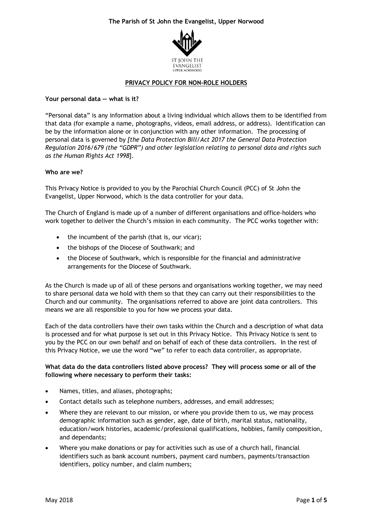

### **PRIVACY POLICY FOR NON-ROLE HOLDERS**

## **Your personal data — what is it?**

"Personal data" is any information about a living individual which allows them to be identified from that data (for example a name, photographs, videos, email address, or address). Identification can be by the information alone or in conjunction with any other information. The processing of personal data is governed by *[the Data Protection Bill/Act 2017 the General Data Protection Regulation 2016/679 (the "GDPR") and other legislation relating to personal data and rights such as the Human Rights Act 1998*].

### **Who are we?**

This Privacy Notice is provided to you by the Parochial Church Council (PCC) of St John the Evangelist, Upper Norwood, which is the data controller for your data.

The Church of England is made up of a number of different organisations and office-holders who work together to deliver the Church's mission in each community. The PCC works together with:

- the incumbent of the parish (that is, our vicar);
- the bishops of the Diocese of Southwark; and
- the Diocese of Southwark, which is responsible for the financial and administrative arrangements for the Diocese of Southwark.

As the Church is made up of all of these persons and organisations working together, we may need to share personal data we hold with them so that they can carry out their responsibilities to the Church and our community. The organisations referred to above are joint data controllers. This means we are all responsible to you for how we process your data.

Each of the data controllers have their own tasks within the Church and a description of what data is processed and for what purpose is set out in this Privacy Notice. This Privacy Notice is sent to you by the PCC on our own behalf and on behalf of each of these data controllers. In the rest of this Privacy Notice, we use the word "we" to refer to each data controller, as appropriate.

## **What data do the data controllers listed above process? They will process some or all of the following where necessary to perform their tasks:**

- Names, titles, and aliases, photographs;
- Contact details such as telephone numbers, addresses, and email addresses;
- Where they are relevant to our mission, or where you provide them to us, we may process demographic information such as gender, age, date of birth, marital status, nationality, education/work histories, academic/professional qualifications, hobbies, family composition, and dependants;
- Where you make donations or pay for activities such as use of a church hall, financial identifiers such as bank account numbers, payment card numbers, payments/transaction identifiers, policy number, and claim numbers;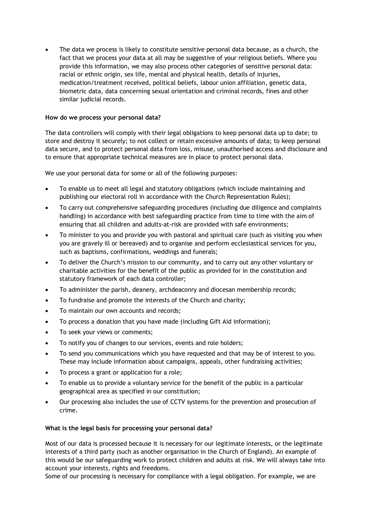The data we process is likely to constitute sensitive personal data because, as a church, the fact that we process your data at all may be suggestive of your religious beliefs. Where you provide this information, we may also process other categories of sensitive personal data: racial or ethnic origin, sex life, mental and physical health, details of injuries, medication/treatment received, political beliefs, labour union affiliation, genetic data, biometric data, data concerning sexual orientation and criminal records, fines and other similar judicial records.

## **How do we process your personal data?**

The data controllers will comply with their legal obligations to keep personal data up to date; to store and destroy it securely; to not collect or retain excessive amounts of data; to keep personal data secure, and to protect personal data from loss, misuse, unauthorised access and disclosure and to ensure that appropriate technical measures are in place to protect personal data.

We use your personal data for some or all of the following purposes:

- To enable us to meet all legal and statutory obligations (which include maintaining and publishing our electoral roll in accordance with the Church Representation Rules);
- To carry out comprehensive safeguarding procedures (including due diligence and complaints handling) in accordance with best safeguarding practice from time to time with the aim of ensuring that all children and adults-at-risk are provided with safe environments;
- To minister to you and provide you with pastoral and spiritual care (such as visiting you when you are gravely ill or bereaved) and to organise and perform ecclesiastical services for you, such as baptisms, confirmations, weddings and funerals;
- To deliver the Church's mission to our community, and to carry out any other voluntary or charitable activities for the benefit of the public as provided for in the constitution and statutory framework of each data controller;
- To administer the parish, deanery, archdeaconry and diocesan membership records;
- To fundraise and promote the interests of the Church and charity;
- To maintain our own accounts and records;
- To process a donation that you have made (including Gift Aid information);
- To seek your views or comments;
- To notify you of changes to our services, events and role holders;
- To send you communications which you have requested and that may be of interest to you. These may include information about campaigns, appeals, other fundraising activities;
- To process a grant or application for a role;
- To enable us to provide a voluntary service for the benefit of the public in a particular geographical area as specified in our constitution;
- Our processing also includes the use of CCTV systems for the prevention and prosecution of crime.

## **What is the legal basis for processing your personal data?**

Most of our data is processed because it is necessary for our legitimate interests, or the legitimate interests of a third party (such as another organisation in the Church of England). An example of this would be our safeguarding work to protect children and adults at risk. We will always take into account your interests, rights and freedoms.

Some of our processing is necessary for compliance with a legal obligation. For example, we are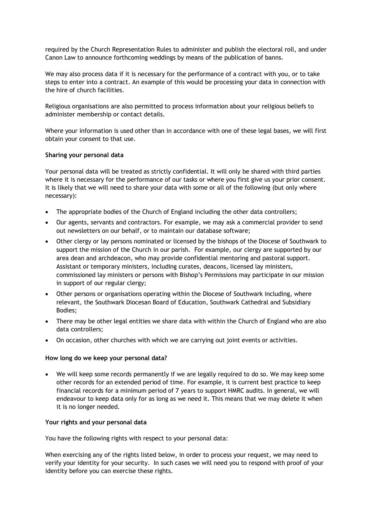required by the Church Representation Rules to administer and publish the electoral roll, and under Canon Law to announce forthcoming weddings by means of the publication of banns.

We may also process data if it is necessary for the performance of a contract with you, or to take steps to enter into a contract. An example of this would be processing your data in connection with the hire of church facilities.

Religious organisations are also permitted to process information about your religious beliefs to administer membership or contact details.

Where your information is used other than in accordance with one of these legal bases, we will first obtain your consent to that use.

### **Sharing your personal data**

Your personal data will be treated as strictly confidential. It will only be shared with third parties where it is necessary for the performance of our tasks or where you first give us your prior consent. It is likely that we will need to share your data with some or all of the following (but only where necessary):

- The appropriate bodies of the Church of England including the other data controllers;
- Our agents, servants and contractors. For example, we may ask a commercial provider to send out newsletters on our behalf, or to maintain our database software;
- Other clergy or lay persons nominated or licensed by the bishops of the Diocese of Southwark to support the mission of the Church in our parish. For example, our clergy are supported by our area dean and archdeacon, who may provide confidential mentoring and pastoral support. Assistant or temporary ministers, including curates, deacons, licensed lay ministers, commissioned lay ministers or persons with Bishop's Permissions may participate in our mission in support of our regular clergy;
- Other persons or organisations operating within the Diocese of Southwark including, where relevant, the Southwark Diocesan Board of Education, Southwark Cathedral and Subsidiary Bodies;
- There may be other legal entities we share data with within the Church of England who are also data controllers;
- On occasion, other churches with which we are carrying out joint events or activities.

#### **How long do we keep your personal data?**

• We will keep some records permanently if we are legally required to do so. We may keep some other records for an extended period of time. For example, it is current best practice to keep financial records for a minimum period of 7 years to support HMRC audits. In general, we will endeavour to keep data only for as long as we need it. This means that we may delete it when it is no longer needed.

### **Your rights and your personal data**

You have the following rights with respect to your personal data:

When exercising any of the rights listed below, in order to process your request, we may need to verify your identity for your security. In such cases we will need you to respond with proof of your identity before you can exercise these rights.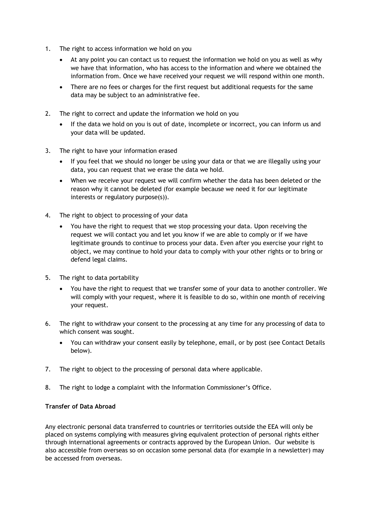- 1. The right to access information we hold on you
	- At any point you can contact us to request the information we hold on you as well as why we have that information, who has access to the information and where we obtained the information from. Once we have received your request we will respond within one month.
	- There are no fees or charges for the first request but additional requests for the same data may be subject to an administrative fee.
- 2. The right to correct and update the information we hold on you
	- If the data we hold on you is out of date, incomplete or incorrect, you can inform us and your data will be updated.
- 3. The right to have your information erased
	- If you feel that we should no longer be using your data or that we are illegally using your data, you can request that we erase the data we hold.
	- When we receive your request we will confirm whether the data has been deleted or the reason why it cannot be deleted (for example because we need it for our legitimate interests or regulatory purpose(s)).
- 4. The right to object to processing of your data
	- You have the right to request that we stop processing your data. Upon receiving the request we will contact you and let you know if we are able to comply or if we have legitimate grounds to continue to process your data. Even after you exercise your right to object, we may continue to hold your data to comply with your other rights or to bring or defend legal claims.
- 5. The right to data portability
	- You have the right to request that we transfer some of your data to another controller. We will comply with your request, where it is feasible to do so, within one month of receiving your request.
- 6. The right to withdraw your consent to the processing at any time for any processing of data to which consent was sought.
	- You can withdraw your consent easily by telephone, email, or by post (see Contact Details below).
- 7. The right to object to the processing of personal data where applicable.
- 8. The right to lodge a complaint with the Information Commissioner's Office.

## **Transfer of Data Abroad**

Any electronic personal data transferred to countries or territories outside the EEA will only be placed on systems complying with measures giving equivalent protection of personal rights either through international agreements or contracts approved by the European Union. Our website is also accessible from overseas so on occasion some personal data (for example in a newsletter) may be accessed from overseas.